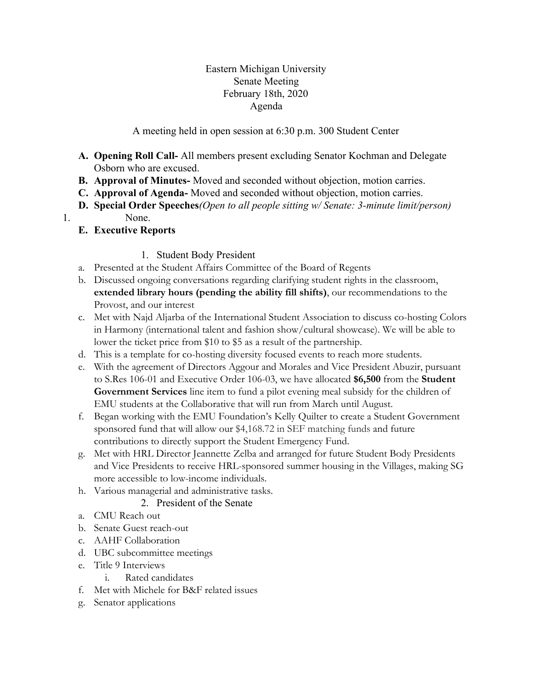### Eastern Michigan University Senate Meeting February 18th, 2020 Agenda

A meeting held in open session at 6:30 p.m. 300 Student Center

- **A. Opening Roll Call-** All members present excluding Senator Kochman and Delegate Osborn who are excused.
- **B. Approval of Minutes-** Moved and seconded without objection, motion carries.
- **C. Approval of Agenda-** Moved and seconded without objection, motion carries.
- **D. Special Order Speeches***(Open to all people sitting w/ Senate: 3-minute limit/person)*
- 1. None.
	- **E. Executive Reports**

# 1. Student Body President

- a. Presented at the Student Affairs Committee of the Board of Regents
- b. Discussed ongoing conversations regarding clarifying student rights in the classroom, **extended library hours (pending the ability fill shifts)**, our recommendations to the Provost, and our interest
- c. Met with Najd Aljarba of the International Student Association to discuss co-hosting Colors in Harmony (international talent and fashion show/cultural showcase). We will be able to lower the ticket price from \$10 to \$5 as a result of the partnership.
- d. This is a template for co-hosting diversity focused events to reach more students.
- e. With the agreement of Directors Aggour and Morales and Vice President Abuzir, pursuant to S.Res 106-01 and Executive Order 106-03, we have allocated **\$6,500** from the **Student Government Services** line item to fund a pilot evening meal subsidy for the children of EMU students at the Collaborative that will run from March until August.
- f. Began working with the EMU Foundation's Kelly Quilter to create a Student Government sponsored fund that will allow our \$4,168.72 in SEF matching funds and future contributions to directly support the Student Emergency Fund.
- g. Met with HRL Director Jeannette Zelba and arranged for future Student Body Presidents and Vice Presidents to receive HRL-sponsored summer housing in the Villages, making SG more accessible to low-income individuals.
- h. Various managerial and administrative tasks.
	- 2. President of the Senate
- a. CMU Reach out
- b. Senate Guest reach-out
- c. AAHF Collaboration
- d. UBC subcommittee meetings
- e. Title 9 Interviews
	- i. Rated candidates
- f. Met with Michele for B&F related issues
- g. Senator applications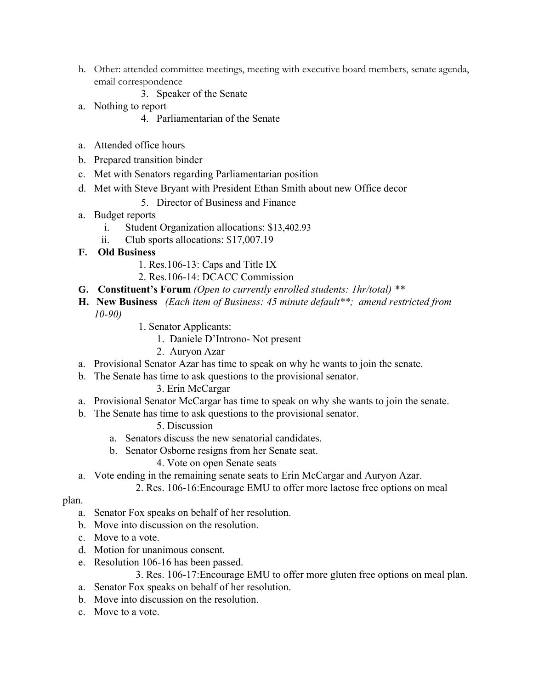- h. Other: attended committee meetings, meeting with executive board members, senate agenda, email correspondence
	- 3. Speaker of the Senate
- a. Nothing to report
	- 4. Parliamentarian of the Senate
- a. Attended office hours
- b. Prepared transition binder
- c. Met with Senators regarding Parliamentarian position
- d. Met with Steve Bryant with President Ethan Smith about new Office decor
	- 5. Director of Business and Finance
- a. Budget reports
	- i. Student Organization allocations: \$13,402.93
	- ii. Club sports allocations: \$17,007.19
- **F. Old Business**
	- 1. Res.106-13: Caps and Title IX
	- 2. Res.106-14: DCACC Commission
- **G. Constituent's Forum** *(Open to currently enrolled students: 1hr/total) \*\**
- **H. New Business** *(Each item of Business: 45 minute default\*\*; amend restricted from 10-90)*
	- 1. Senator Applicants:
		- 1. Daniele D'Introno- Not present
		- 2. Auryon Azar
- a. Provisional Senator Azar has time to speak on why he wants to join the senate.
- b. The Senate has time to ask questions to the provisional senator.

### 3. Erin McCargar

- a. Provisional Senator McCargar has time to speak on why she wants to join the senate.
- b. The Senate has time to ask questions to the provisional senator.
	- 5. Discussion
	- a. Senators discuss the new senatorial candidates.
	- b. Senator Osborne resigns from her Senate seat.
		- 4. Vote on open Senate seats
- a. Vote ending in the remaining senate seats to Erin McCargar and Auryon Azar.

2. Res. 106-16:Encourage EMU to offer more lactose free options on meal

### plan.

- a. Senator Fox speaks on behalf of her resolution.
- b. Move into discussion on the resolution.
- c. Move to a vote.
- d. Motion for unanimous consent.
- e. Resolution 106-16 has been passed.

3. Res. 106-17:Encourage EMU to offer more gluten free options on meal plan.

- a. Senator Fox speaks on behalf of her resolution.
- b. Move into discussion on the resolution.
- c. Move to a vote.